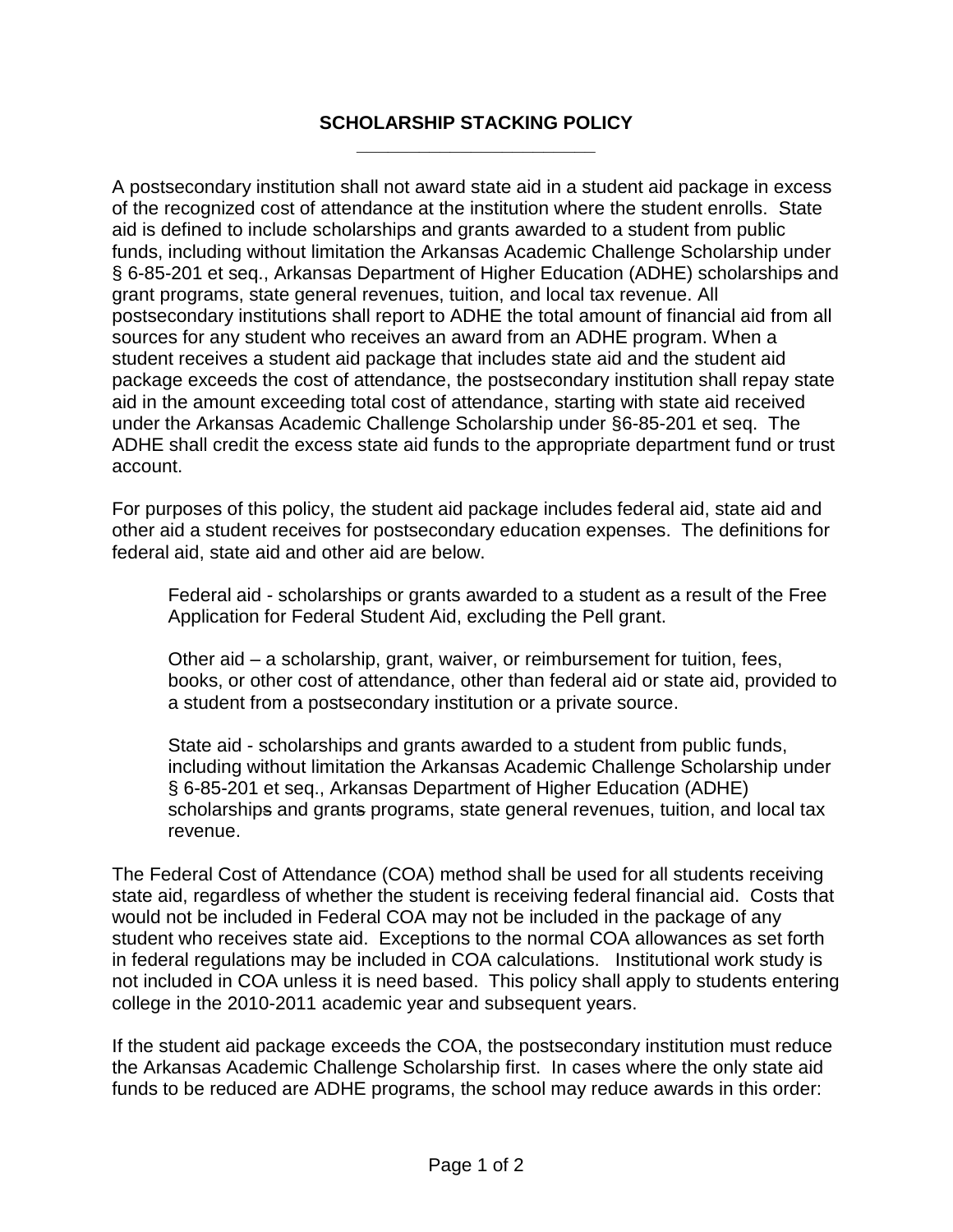## **SCHOLARSHIP STACKING POLICY \_\_\_\_\_\_\_\_\_\_\_\_\_\_\_\_\_\_\_\_\_\_\_**

A postsecondary institution shall not award state aid in a student aid package in excess of the recognized cost of attendance at the institution where the student enrolls. State aid is defined to include scholarships and grants awarded to a student from public funds, including without limitation the Arkansas Academic Challenge Scholarship under § 6-85-201 et seq., Arkansas Department of Higher Education (ADHE) scholarships and grant programs, state general revenues, tuition, and local tax revenue. All postsecondary institutions shall report to ADHE the total amount of financial aid from all sources for any student who receives an award from an ADHE program. When a student receives a student aid package that includes state aid and the student aid package exceeds the cost of attendance, the postsecondary institution shall repay state aid in the amount exceeding total cost of attendance, starting with state aid received under the Arkansas Academic Challenge Scholarship under §6-85-201 et seq. The ADHE shall credit the excess state aid funds to the appropriate department fund or trust account.

For purposes of this policy, the student aid package includes federal aid, state aid and other aid a student receives for postsecondary education expenses. The definitions for federal aid, state aid and other aid are below.

Federal aid - scholarships or grants awarded to a student as a result of the Free Application for Federal Student Aid, excluding the Pell grant.

Other aid – a scholarship, grant, waiver, or reimbursement for tuition, fees, books, or other cost of attendance, other than federal aid or state aid, provided to a student from a postsecondary institution or a private source.

State aid - scholarships and grants awarded to a student from public funds, including without limitation the Arkansas Academic Challenge Scholarship under § 6-85-201 et seq., Arkansas Department of Higher Education (ADHE) scholarships and grants programs, state general revenues, tuition, and local tax revenue.

The Federal Cost of Attendance (COA) method shall be used for all students receiving state aid, regardless of whether the student is receiving federal financial aid. Costs that would not be included in Federal COA may not be included in the package of any student who receives state aid. Exceptions to the normal COA allowances as set forth in federal regulations may be included in COA calculations. Institutional work study is not included in COA unless it is need based. This policy shall apply to students entering college in the 2010-2011 academic year and subsequent years.

If the student aid package exceeds the COA, the postsecondary institution must reduce the Arkansas Academic Challenge Scholarship first. In cases where the only state aid funds to be reduced are ADHE programs, the school may reduce awards in this order: